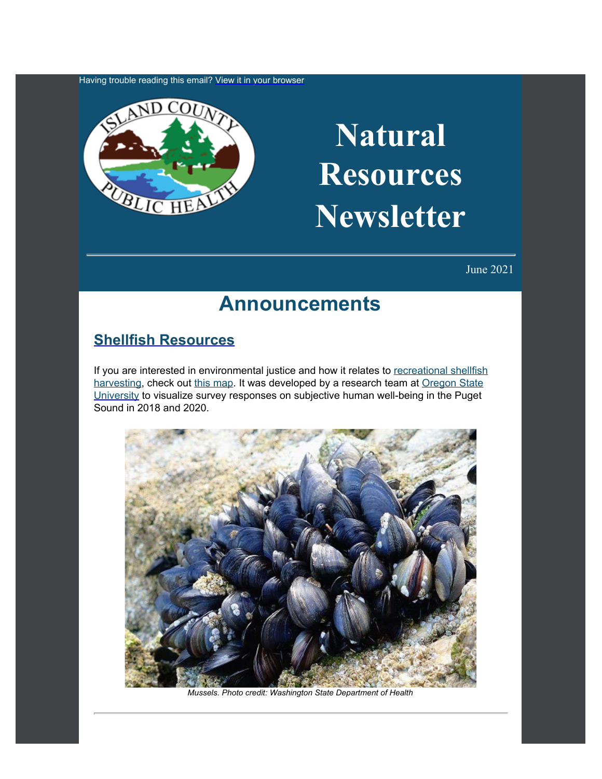Having trouble reading this email? [View](https://content.govdelivery.com/accounts/WACOISLAND/bulletins/2e49ba6) [it in your browser](https://content.govdelivery.com/accounts/WACOISLAND/bulletins/2e49ba6)



# **Natural Resources Newsletter**

June 2021

### **Announcements**

#### **[Shellfish Resources](https://www.islandcountywa.gov/Health/EH/Shellfish/Pages/Home.aspx?utm_content=&utm_medium=email&utm_name=&utm_source=govdelivery&utm_term=)**

If you are interested in environmental justice and how it relates to [recreational shellfish](https://www.islandcountywa.gov/Health/EH/Shellfish/Pages/Home.aspx?utm_content=&utm_medium=email&utm_name=&utm_source=govdelivery&utm_term=) [harvesting,](https://www.islandcountywa.gov/Health/EH/Shellfish/Pages/Home.aspx?utm_content=&utm_medium=email&utm_name=&utm_source=govdelivery&utm_term=) check out [this map](https://briangkatz.github.io/WA-shellfish-harvest-closures/index.html?utm_content=&utm_medium=email&utm_name=&utm_source=govdelivery&utm_term=). It was developed by a research team at [Oregon State](https://oregonstate.edu/?utm_content=&utm_medium=email&utm_name=&utm_source=govdelivery&utm_term=) [University](https://oregonstate.edu/?utm_content=&utm_medium=email&utm_name=&utm_source=govdelivery&utm_term=) to visualize survey responses on subjective human well-being in the Puget Sound in 2018 and 2020.



*Mussels. Photo credit: Washington State Department of Health*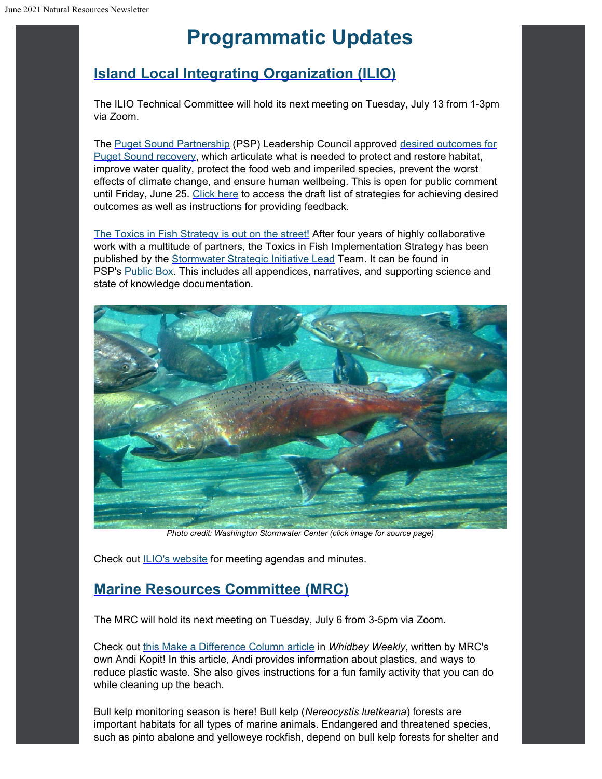## **Programmatic Updates**

### **[Island Local Integrating](https://www.islandcountywa.gov/Health/DNR/ILIO/Pages/Home.aspx?utm_content=&utm_medium=email&utm_name=&utm_source=govdelivery&utm_term=) [Organization \(ILIO\)](https://www.islandcountywa.gov/Health/DNR/ILIO/Pages/Home.aspx?utm_content=&utm_medium=email&utm_name=&utm_source=govdelivery&utm_term=)**

The ILIO Technical Committee will hold its next meeting on Tuesday, July 13 from 1-3pm via Zoom.

The [Puget Sound Partnership](https://www.psp.wa.gov/index.php?utm_content=&utm_medium=email&utm_name=&utm_source=govdelivery&utm_term=) (PSP) Leadership Council approved [desired](https://lnks.gd/l/eyJhbGciOiJIUzI1NiJ9.eyJidWxsZXRpbl9saW5rX2lkIjoxMDAsInVyaSI6ImJwMjpjbGljayIsImJ1bGxldGluX2lkIjoiMjAyMTA1MTcuNDA1ODI4MDEiLCJ1cmwiOiJodHRwczovL2djYzAyLnNhZmVsaW5rcy5wcm90ZWN0aW9uLm91dGxvb2suY29tLz91cmw9aHR0cHMlM0ElMkYlMkZ3d3cucHNwLndhLmdvdiUyRnByaW9yaXR5LW91dGNvbWVzLnBocCZkYXRhPTA0JTdDMDElN0Nkb24uZ291cmxpZSU0MHBzcC53YS5nb3YlN0MwM2MwYzYxYTYxNzM0ZjA3ODNkODA4ZDkwZTRjYTc5NyU3QzExZDBlMjE3MjY0ZTQwMGE4YmEwNTdkY2MxMjdkNzJkJTdDMCU3QzAlN0M2Mzc1NTY1NDQ2NDk5Mjk2ODQlN0NVbmtub3duJTdDVFdGcGJHWnNiM2Q4ZXlKV0lqb2lNQzR3TGpBd01EQWlMQ0pRSWpvaVYybHVNeklpTENKQlRpSTZJazFoYVd3aUxDSlhWQ0k2TW4wJTNEJTdDMTAwMCZzZGF0YT0lMkZscFMxV2o3cVhueXdLZm9STkdIazdYZmNhVnRPc09lMUNHYUg1YkRUaWslM0QmcmVzZXJ2ZWQ9MCJ9.qt7SC1L6wD7mBLj20xMI8CKeOFqPcfEkd8jC6iQOdNo/s/1099189490/br/106473146386-l?utm_content=&utm_medium=email&utm_name=&utm_source=govdelivery&utm_term=) [outcomes for](https://lnks.gd/l/eyJhbGciOiJIUzI1NiJ9.eyJidWxsZXRpbl9saW5rX2lkIjoxMDAsInVyaSI6ImJwMjpjbGljayIsImJ1bGxldGluX2lkIjoiMjAyMTA1MTcuNDA1ODI4MDEiLCJ1cmwiOiJodHRwczovL2djYzAyLnNhZmVsaW5rcy5wcm90ZWN0aW9uLm91dGxvb2suY29tLz91cmw9aHR0cHMlM0ElMkYlMkZ3d3cucHNwLndhLmdvdiUyRnByaW9yaXR5LW91dGNvbWVzLnBocCZkYXRhPTA0JTdDMDElN0Nkb24uZ291cmxpZSU0MHBzcC53YS5nb3YlN0MwM2MwYzYxYTYxNzM0ZjA3ODNkODA4ZDkwZTRjYTc5NyU3QzExZDBlMjE3MjY0ZTQwMGE4YmEwNTdkY2MxMjdkNzJkJTdDMCU3QzAlN0M2Mzc1NTY1NDQ2NDk5Mjk2ODQlN0NVbmtub3duJTdDVFdGcGJHWnNiM2Q4ZXlKV0lqb2lNQzR3TGpBd01EQWlMQ0pRSWpvaVYybHVNeklpTENKQlRpSTZJazFoYVd3aUxDSlhWQ0k2TW4wJTNEJTdDMTAwMCZzZGF0YT0lMkZscFMxV2o3cVhueXdLZm9STkdIazdYZmNhVnRPc09lMUNHYUg1YkRUaWslM0QmcmVzZXJ2ZWQ9MCJ9.qt7SC1L6wD7mBLj20xMI8CKeOFqPcfEkd8jC6iQOdNo/s/1099189490/br/106473146386-l?utm_content=&utm_medium=email&utm_name=&utm_source=govdelivery&utm_term=) [Puget Sound recovery,](https://lnks.gd/l/eyJhbGciOiJIUzI1NiJ9.eyJidWxsZXRpbl9saW5rX2lkIjoxMDAsInVyaSI6ImJwMjpjbGljayIsImJ1bGxldGluX2lkIjoiMjAyMTA1MTcuNDA1ODI4MDEiLCJ1cmwiOiJodHRwczovL2djYzAyLnNhZmVsaW5rcy5wcm90ZWN0aW9uLm91dGxvb2suY29tLz91cmw9aHR0cHMlM0ElMkYlMkZ3d3cucHNwLndhLmdvdiUyRnByaW9yaXR5LW91dGNvbWVzLnBocCZkYXRhPTA0JTdDMDElN0Nkb24uZ291cmxpZSU0MHBzcC53YS5nb3YlN0MwM2MwYzYxYTYxNzM0ZjA3ODNkODA4ZDkwZTRjYTc5NyU3QzExZDBlMjE3MjY0ZTQwMGE4YmEwNTdkY2MxMjdkNzJkJTdDMCU3QzAlN0M2Mzc1NTY1NDQ2NDk5Mjk2ODQlN0NVbmtub3duJTdDVFdGcGJHWnNiM2Q4ZXlKV0lqb2lNQzR3TGpBd01EQWlMQ0pRSWpvaVYybHVNeklpTENKQlRpSTZJazFoYVd3aUxDSlhWQ0k2TW4wJTNEJTdDMTAwMCZzZGF0YT0lMkZscFMxV2o3cVhueXdLZm9STkdIazdYZmNhVnRPc09lMUNHYUg1YkRUaWslM0QmcmVzZXJ2ZWQ9MCJ9.qt7SC1L6wD7mBLj20xMI8CKeOFqPcfEkd8jC6iQOdNo/s/1099189490/br/106473146386-l?utm_content=&utm_medium=email&utm_name=&utm_source=govdelivery&utm_term=) which articulate what is needed to protect and restore habitat, improve water quality, protect the food web and imperiled species, prevent the worst effects of climate change, and ensure human wellbeing. This is open for public comment until Friday, June 25. [Click here](https://lnks.gd/l/eyJhbGciOiJIUzI1NiJ9.eyJidWxsZXRpbl9saW5rX2lkIjoxMDEsInVyaSI6ImJwMjpjbGljayIsImJ1bGxldGluX2lkIjoiMjAyMTA1MTcuNDA1ODI4MDEiLCJ1cmwiOiJodHRwczovL3d3dy5wc3Aud2EuZ292L2lkZW50aWZ5aW5nLXN0cmF0ZWdpZXMucGhwIn0.tV-PVXxVwfIhqjD9KsZqLpKvWZ-37otEPmdWsv7MTIo/s/1099189490/br/106473146386-l?utm_content=&utm_medium=email&utm_name=&utm_source=govdelivery&utm_term=) to access the draft list of strategies for achieving desired outcomes as well as instructions for providing feedback.

[The Toxics in Fish](https://pugetsoundestuary.wa.gov/2021/06/02/the-toxics-in-fish-strategy-is-out-on-the-street/?utm_content=&utm_medium=email&utm_name=&utm_source=govdelivery&utm_term=) [Strategy is out on the street!](https://pugetsoundestuary.wa.gov/2021/06/02/the-toxics-in-fish-strategy-is-out-on-the-street/?utm_content=&utm_medium=email&utm_name=&utm_source=govdelivery&utm_term=) After four years of highly collaborative work with a multitude of partners, the Toxics in Fish Implementation Strategy has been published by the [Stormwater Strategic](https://www.psp.wa.gov/strategic-initiatives-leads.php?utm_content=&utm_medium=email&utm_name=&utm_source=govdelivery&utm_term=) [Initiative Lead](https://www.psp.wa.gov/strategic-initiatives-leads.php?utm_content=&utm_medium=email&utm_name=&utm_source=govdelivery&utm_term=) Team. It can be found in PSP's [Public Box](https://pspwa.box.com/s/q1rueyrajn7kgp7gfkal65k0h87cwcpx?utm_content=&utm_medium=email&utm_name=&utm_source=govdelivery&utm_term=). This includes all appendices, narratives, and supporting science and state of knowledge documentation.



*Photo credit: Washington Stormwater Center (click image for source page)*

Check out **ILIO's website** for meeting agendas and minutes.

### **[Marine Resources Committee \(MRC\)](https://www.islandcountymrc.org/?utm_content=&utm_medium=email&utm_name=&utm_source=govdelivery&utm_term=)**

The MRC will hold its next meeting on Tuesday, July 6 from 3-5pm via Zoom.

Check out [this Make a Difference](https://www.whidbeycd.org/uploads/1/1/6/8/11683986/mad_june_2021.pdf?utm_content=&utm_medium=email&utm_name=&utm_source=govdelivery&utm_term=) [Column article](https://www.whidbeycd.org/uploads/1/1/6/8/11683986/mad_june_2021.pdf?utm_content=&utm_medium=email&utm_name=&utm_source=govdelivery&utm_term=) in *Whidbey Weekly*, written by MRC's own Andi Kopit! In this article, Andi provides information about plastics, and ways to reduce plastic waste. She also gives instructions for a fun family activity that you can do while cleaning up the beach.

Bull kelp monitoring season is here! Bull kelp (*Nereocystis luetkeana*) forests are important habitats for all types of marine animals. Endangered and threatened species, such as pinto abalone and yelloweye rockfish, depend on bull kelp forests for shelter and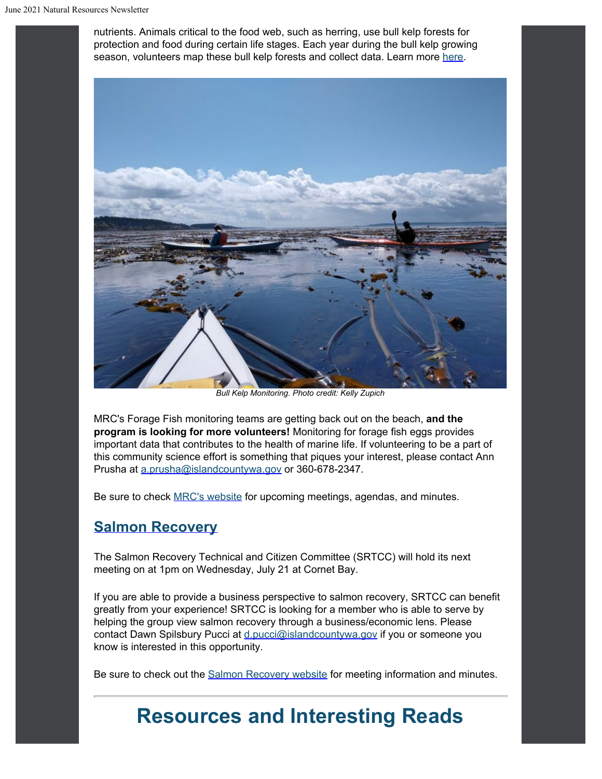nutrients. Animals critical to the food web, such as herring, use bull kelp forests for protection and food during certain life stages. Each year during the bull kelp growing season, volunteers map these bull kelp forests and collect data. Learn more [here](https://www.islandcountymrc.org/projects/bull-kelp-monitoring/?utm_content=&utm_medium=email&utm_name=&utm_source=govdelivery&utm_term=).



*Bull Kelp Monitoring. Photo credit: Kelly Zupich*

MRC's Forage Fish monitoring teams are getting back out on the beach, **and the program is looking for more volunteers!** Monitoring for forage fish eggs provides important data that contributes to the health of marine life. If volunteering to be a part of this community science effort is something that piques your interest, please contact Ann Prusha at [a.prusha@islandcountywa.gov](mailto:a.prusha@islandcountywa.gov) or 360-678-2347.

Be sure to check [MRC's website](https://www.islandcountymrc.org/meetings-events/?utm_content=&utm_medium=email&utm_name=&utm_source=govdelivery&utm_term=) for upcoming meetings, agendas, and minutes.

#### **[Salmon Recovery](https://www.islandcountywa.gov/Health/DNR/Salmon/Pages/Home.aspx?utm_content=&utm_medium=email&utm_name=&utm_source=govdelivery&utm_term=)**

The Salmon Recovery Technical and Citizen Committee (SRTCC) will hold its next meeting on at 1pm on Wednesday, July 21 at Cornet Bay.

If you are able to provide a business perspective to salmon recovery, SRTCC can benefit greatly from your experience! SRTCC is looking for a member who is able to serve by helping the group view salmon recovery through a business/economic lens. Please contact Dawn Spilsbury Pucci at [d.pucci@islandcountywa.gov](mailto:d.pucci@islandcountywa.gov) if you or someone you know is interested in this opportunity.

Be sure to check out the **Salmon Recovery website** for meeting information and minutes.

### **Resources and Interesting Reads**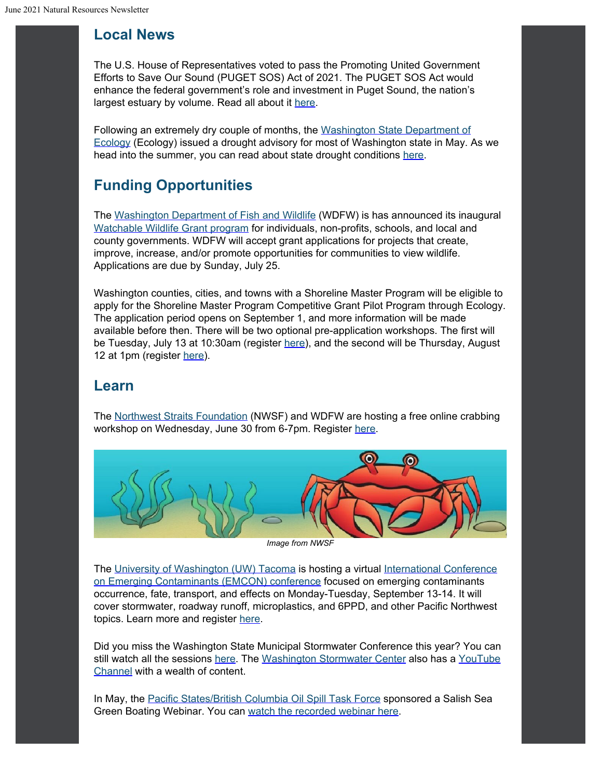#### **Local News**

The U.S. House of Representatives voted to pass the Promoting United Government Efforts to Save Our Sound (PUGET SOS) Act of 2021. The PUGET SOS Act would enhance the federal government's role and investment in Puget Sound, the nation's largest estuary by volume. Read all about it [here.](https://kilmer.house.gov/news/press-releases/house-passes-kilmer-strickland-bill-to-bolster-puget-sound-restoration-and-recovery-efforts?utm_content=&utm_medium=email&utm_name=&utm_source=govdelivery&utm_term=)

Following an extremely dry couple of months, the [Washington State](https://ecology.wa.gov/?utm_content=&utm_medium=email&utm_name=&utm_source=govdelivery&utm_term=) [Department of](https://ecology.wa.gov/?utm_content=&utm_medium=email&utm_name=&utm_source=govdelivery&utm_term=) [Ecology](https://ecology.wa.gov/?utm_content=&utm_medium=email&utm_name=&utm_source=govdelivery&utm_term=) (Ecology) issued a drought advisory for most of Washington state in May. As we head into the summer, you can read about state drought conditions [here](https://ecology.wa.gov/Water-Shorelines/Water-supply/Water-availability/Statewide-conditions/Drought-response/Drought-conditions?utm_content=&utm_medium=email&utm_name=&utm_source=govdelivery&utm_term=).

### **Funding Opportunities**

The [Washington Department](https://wdfw.wa.gov/?utm_content=&utm_medium=email&utm_name=&utm_source=govdelivery&utm_term=) [of Fish and Wildlife](https://wdfw.wa.gov/?utm_content=&utm_medium=email&utm_name=&utm_source=govdelivery&utm_term=) (WDFW) is has announced its inaugural [Watchable Wildlife](https://wdfw.wa.gov/get-involved/watchable-wildlife-grants?utm_content=&utm_medium=email&utm_name=&utm_source=govdelivery&utm_term=) [Grant program](https://wdfw.wa.gov/get-involved/watchable-wildlife-grants?utm_content=&utm_medium=email&utm_name=&utm_source=govdelivery&utm_term=) for individuals, non-profits, schools, and local and county governments. WDFW will accept grant applications for projects that create, improve, increase, and/or promote opportunities for communities to view wildlife. Applications are due by Sunday, July 25.

Washington counties, cities, and towns with a Shoreline Master Program will be eligible to apply for the Shoreline Master Program Competitive Grant Pilot Program through Ecology. The application period opens on September 1, and more information will be made available before then. There will be two optional pre-application workshops. The first will be Tuesday, July 13 at 10:30am (register [here](https://watech.webex.com/mw3300/mywebex/default.do?main_url=https%3A%2F%2Fwatech.webex.com%2Fec3300%2Feventcenter%2Fevent%2FeventAction.do%3FEMK%3D4832534b00000005babca03516cb0abb6ca289aaef418983038a02f94563e2a5b6cdca3a3c7d32ab%26confViewID%3D194029070796759455%26encryptTicket%3DSDJTSwAAAAWRYfsmSNElgMuztA56ahGQlqxAPwJH0w53Df-UlgCFuw2%26siteurl%3Dwatech%26theAction%3Ddetail%26utm_content%3D%26utm_medium%3Demail%26utm_name%3D%26utm_source%3Dgovdelivery%26utm_term%3D&nomenu=true&rnd=0.6761780044370983&service=6&siteurl=watech&utm_content=&utm_medium=email&utm_name=&utm_source=govdelivery&utm_term=)), and the second will be Thursday, August 12 at 1pm (register [here](https://watech.webex.com/mw3300/mywebex/default.do?main_url=https%3A%2F%2Fwatech.webex.com%2Fec3300%2Feventcenter%2Fevent%2FeventAction.do%3FEMK%3D4832534b00000005ddf95d152fcc874f927bef0fa5564208f1738991364a45142b1d928ca9952fdb%26confViewID%3D194033756051383023%26encryptTicket%3DSDJTSwAAAAVIN3FHXKb0f18X4hknY1bdZ979MjFAVnndYGxD0TJPgA2%26siteurl%3Dwatech%26theAction%3Ddetail%26utm_content%3D%26utm_medium%3Demail%26utm_name%3D%26utm_source%3Dgovdelivery%26utm_term%3D&nomenu=true&rnd=0.9088217095077006&service=6&siteurl=watech&utm_content=&utm_medium=email&utm_name=&utm_source=govdelivery&utm_term=)).

#### **Learn**

The [Northwest Straits](https://nwstraitsfoundation.org/?utm_content=&utm_medium=email&utm_name=&utm_source=govdelivery&utm_term=) [Foundation](https://nwstraitsfoundation.org/?utm_content=&utm_medium=email&utm_name=&utm_source=govdelivery&utm_term=) (NWSF) and WDFW are hosting a free online crabbing workshop on Wednesday, June 30 from 6-7pm. Register [here](https://us02web.zoom.us/webinar/register/WN_JhA_SKlnRcy-1Qt07P_SBQ?utm_content=&utm_medium=email&utm_name=&utm_source=govdelivery&utm_term=).



*Image from NWSF*

The [University of](https://www.tacoma.uw.edu/?utm_content=&utm_medium=email&utm_name=&utm_source=govdelivery&utm_term=) [Washington \(UW\) Tacoma](https://www.tacoma.uw.edu/?utm_content=&utm_medium=email&utm_name=&utm_source=govdelivery&utm_term=) is hosting a virtual [International Conference](https://web.cvent.com/event/930867c6-cb37-48f8-b2e0-e7f361d941ab/summary?utm_content=&utm_medium=email&utm_name=&utm_source=govdelivery&utm_term=) [on Emerging Contaminants \(EMCON\) conference](https://web.cvent.com/event/930867c6-cb37-48f8-b2e0-e7f361d941ab/summary?utm_content=&utm_medium=email&utm_name=&utm_source=govdelivery&utm_term=) focused on emerging contaminants occurrence, fate, transport, and effects on Monday-Tuesday, September 13-14. It will cover stormwater, roadway runoff, microplastics, and 6PPD, and other Pacific Northwest topics. Learn more and register [here](https://web.cvent.com/event/930867c6-cb37-48f8-b2e0-e7f361d941ab/summary?utm_content=&utm_medium=email&utm_name=&utm_source=govdelivery&utm_term=).

Did you miss the Washington State Municipal Stormwater Conference this year? You can still watch all the sessions [here.](https://www.wastormwatercenter.org/permit-assistance/municipal/municon2021/?utm_content=&utm_medium=email&utm_name=&utm_source=govdelivery&utm_term=) The [Washington Stormwater](https://www.wastormwatercenter.org/?utm_content=&utm_medium=email&utm_name=&utm_source=govdelivery&utm_term=) [Center](https://www.wastormwatercenter.org/?utm_content=&utm_medium=email&utm_name=&utm_source=govdelivery&utm_term=) also has a [YouTube](https://www.youtube.com/channel/UCuVzz3DSGC7N0cA6cI0E99g?utm_content=&utm_medium=email&utm_name=&utm_source=govdelivery&utm_term=) [Channel](https://www.youtube.com/channel/UCuVzz3DSGC7N0cA6cI0E99g?utm_content=&utm_medium=email&utm_name=&utm_source=govdelivery&utm_term=) with a wealth of content.

In May, the [Pacific States/British](https://oilspilltaskforce.org/?utm_content=&utm_medium=email&utm_name=&utm_source=govdelivery&utm_term=) [Columbia Oil Spill Task Force](https://oilspilltaskforce.org/?utm_content=&utm_medium=email&utm_name=&utm_source=govdelivery&utm_term=) sponsored a Salish Sea Green Boating Webinar. You can [watch the recorded](https://youtu.be/4_thD-09EhE?utm_content=&utm_medium=email&utm_name=&utm_source=govdelivery&utm_term=) [webinar](https://youtu.be/4_thD-09EhE?utm_content=&utm_medium=email&utm_name=&utm_source=govdelivery&utm_term=) here.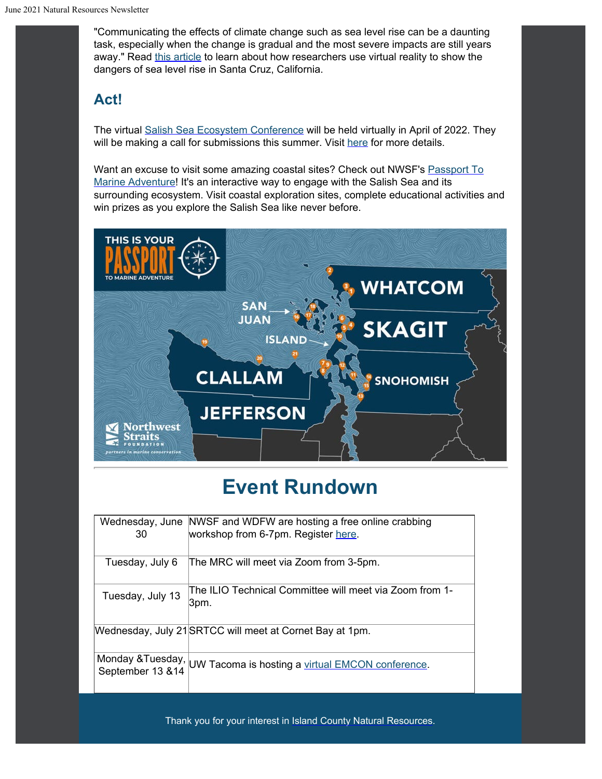"Communicating the effects of climate change such as sea level rise can be a daunting task, especially when the change is gradual and the most severe impacts are still years away." Read [this article](https://goodtimes.sc/santa-cruz-news/researchers-virtual-reality-show-sea-level-rise/?utm_content=&utm_medium=email&utm_name=&utm_source=govdelivery&utm_term=) to learn about how researchers use virtual reality to show the dangers of sea level rise in Santa Cruz, California.

#### **Act!**

The virtual [Salish Sea Ecosystem](https://salishseaconference.com/?utm_content=&utm_medium=email&utm_name=&utm_source=govdelivery&utm_term=) [Conference](https://salishseaconference.com/?utm_content=&utm_medium=email&utm_name=&utm_source=govdelivery&utm_term=) will be held virtually in April of 2022. They will be making a call for submissions this summer. Visit [here](https://salishseaconference.com/?utm_content=&utm_medium=email&utm_name=&utm_source=govdelivery&utm_term=) for more details.

Want an excuse to visit some amazing coastal sites? Check out NWSF's [Passport To](https://nwstraitsfoundation.org/activities/passport-to-marine-adventure/?eId=faba05b1-a607-4108-956b-14db1ecf5169&eType=EmailBlastContent&utm_content=&utm_medium=email&utm_name=&utm_source=govdelivery&utm_term=) [Marine](https://nwstraitsfoundation.org/activities/passport-to-marine-adventure/?eId=faba05b1-a607-4108-956b-14db1ecf5169&eType=EmailBlastContent&utm_content=&utm_medium=email&utm_name=&utm_source=govdelivery&utm_term=) [Adventure](https://nwstraitsfoundation.org/activities/passport-to-marine-adventure/?eId=faba05b1-a607-4108-956b-14db1ecf5169&eType=EmailBlastContent&utm_content=&utm_medium=email&utm_name=&utm_source=govdelivery&utm_term=)! It's an interactive way to engage with the Salish Sea and its surrounding ecosystem. Visit coastal exploration sites, complete educational activities and win prizes as you explore the Salish Sea like never before.



### **Event Rundown**

| 30               | Wednesday, June NWSF and WDFW are hosting a free online crabbing<br>workshop from 6-7pm. Register here. |
|------------------|---------------------------------------------------------------------------------------------------------|
| Tuesday, July 6  | The MRC will meet via Zoom from 3-5pm.                                                                  |
| Tuesday, July 13 | The ILIO Technical Committee will meet via Zoom from 1-<br>3pm.                                         |
|                  | Wednesday, July 21 SRTCC will meet at Cornet Bay at 1pm.                                                |
|                  | Monday &Tuesday, UW Tacoma is hosting a <u>virtual EMCON conference</u> .<br>September 13 &14           |

Thank you for your interest in [Island County Natural](https://www.islandcountywa.gov/Health/DNR/Pages/Home.aspx?utm_content=&utm_medium=email&utm_name=&utm_source=govdelivery&utm_term=) [Resources](https://www.islandcountywa.gov/Health/DNR/Pages/Home.aspx?utm_content=&utm_medium=email&utm_name=&utm_source=govdelivery&utm_term=).